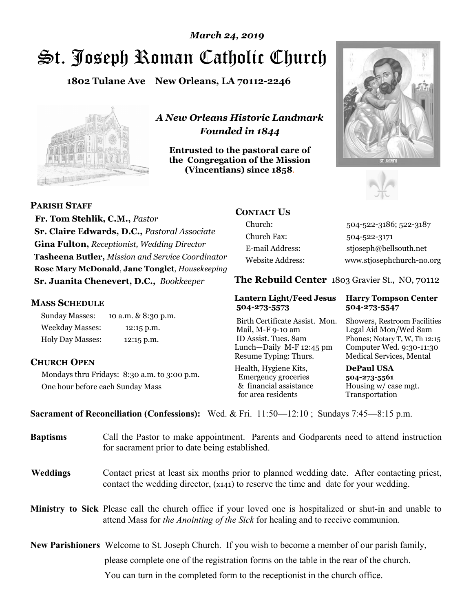# St. Joseph Roman Catholic Church *March 24, 2019*

**1802 Tulane Ave New Orleans, LA 70112-2246**



*A New Orleans Historic Landmark Founded in 1844* 

**Entrusted to the pastoral care of the Congregation of the Mission (Vincentians) since 1858**.





**PARISH STAFF**

 **Fr. Tom Stehlik, C.M.,** *Pastor* **Sr. Claire Edwards, D.C.,** *Pastoral Associate* **Gina Fulton,** *Receptionist, Wedding Director* **Tasheena Butler,** *Mission and Service Coordinator* **Rose Mary McDonald**, **Jane Tonglet**, *Housekeeping* **Sr. Juanita Chenevert, D.C.,** *Bookkeeper* 

#### **MASS SCHEDULE**

Sunday Masses: 10 a.m. & 8:30 p.m. Weekday Masses: 12:15 p.m. Holy Day Masses: 12:15 p.m.

### **CHURCH OPEN**

Mondays thru Fridays: 8:30 a.m. to 3:00 p.m. One hour before each Sunday Mass

# **CONTACT US**

Church: 504-522-3186; 522-3187 Church Fax: 504-522-3171 E-mail Address: stjoseph@bellsouth.net Website Address: www.stjosephchurch-no.org

**The Rebuild Center** 1803 Gravier St., NO, 70112

#### **Lantern Light/Feed Jesus Harry Tompson Center 504-273-5573 504-273-5547**

Birth Certificate Assist. Mon. Showers, Restroom Facilities Mail, M-F 9-10 am Legal Aid Mon/Wed 8am ID Assist. Tues. 8am Phones; Notary T, W, Th 12:15 Lunch—Daily M-F 12:45 pm Computer Wed. 9:30-11:30 Resume Typing: Thurs. Medical Services, Mental

Health, Hygiene Kits, **DePaul USA**  Emergency groceries **504-273-5561** & financial assistance Housing w/ case mgt.<br>for area residents Transportation for area residents

**Sacrament of Reconciliation (Confessions):** Wed. & Fri. 11:50—12:10 ; Sundays 7:45—8:15 p.m.

| <b>Baptisms</b> | Call the Pastor to make appointment. Parents and Godparents need to attend instruction<br>for sacrament prior to date being established.                                                            |
|-----------------|-----------------------------------------------------------------------------------------------------------------------------------------------------------------------------------------------------|
| <b>Weddings</b> | Contact priest at least six months prior to planned wedding date. After contacting priest,<br>contact the wedding director, (x141) to reserve the time and date for your wedding.                   |
|                 | Ministry to Sick Please call the church office if your loved one is hospitalized or shut-in and unable to<br>attend Mass for <i>the Anointing of the Sick</i> for healing and to receive communion. |
|                 | <b>New Parishioners</b> Welcome to St. Joseph Church. If you wish to become a member of our parish family,                                                                                          |
|                 | please complete one of the registration forms on the table in the rear of the church.                                                                                                               |
|                 | You can turn in the completed form to the receptionist in the church office.                                                                                                                        |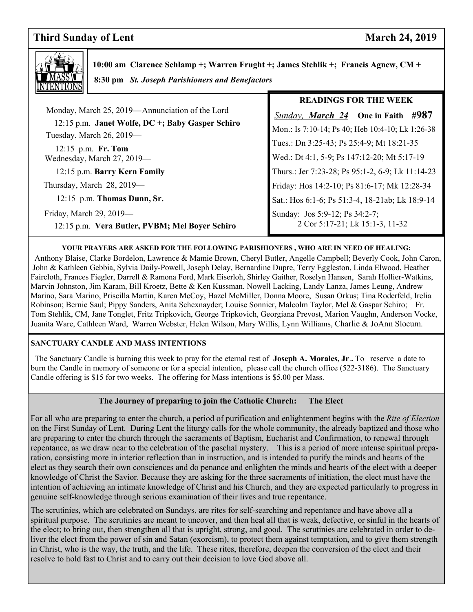# **Third Sunday of Lent** March 24, 2019

**READINGS FOR THE WEEK** 



 **10:00 am Clarence Schlamp +; Warren Frught +; James Stehlik +; Francis Agnew, CM + 8:30 pm** *St. Joseph Parishioners and Benefactors*

| Monday, March 25, 2019—Annunciation of the Lord<br>12:15 p.m. Janet Wolfe, DC +; Baby Gasper Schiro<br>Tuesday, March 26, 2019-<br>12:15 p.m. Fr. Tom<br>Wednesday, March 27, 2019- | <b>Sunday, March 24</b> One in Faith #987<br>Mon.: Is 7:10-14; Ps 40; Heb 10:4-10; Lk 1:26-38<br>Tues.: Dn 3:25-43; Ps 25:4-9; Mt 18:21-35<br>Wed.: Dt 4:1, 5-9; Ps 147:12-20; Mt 5:17-19 |
|-------------------------------------------------------------------------------------------------------------------------------------------------------------------------------------|-------------------------------------------------------------------------------------------------------------------------------------------------------------------------------------------|
| 12:15 p.m. Barry Kern Family                                                                                                                                                        | Thurs.: Jer 7:23-28; Ps 95:1-2, 6-9; Lk 11:14-23                                                                                                                                          |
| Thursday, March 28, 2019-                                                                                                                                                           | Friday: Hos 14:2-10; Ps 81:6-17; Mk 12:28-34                                                                                                                                              |
| 12:15 p.m. Thomas Dunn, Sr.                                                                                                                                                         | Sat.: Hos 6:1-6; Ps 51:3-4, 18-21ab; Lk 18:9-14                                                                                                                                           |
| Friday, March 29, $2019$ —                                                                                                                                                          | Sunday: Jos 5:9-12; Ps 34:2-7;                                                                                                                                                            |
| 12:15 p.m. Vera Butler, PVBM; Mel Boyer Schiro                                                                                                                                      | 2 Cor 5:17-21; Lk 15:1-3, 11-32                                                                                                                                                           |

#### **YOUR PRAYERS ARE ASKED FOR THE FOLLOWING PARISHIONERS , WHO ARE IN NEED OF HEALING:**

 Anthony Blaise, Clarke Bordelon, Lawrence & Mamie Brown, Cheryl Butler, Angelle Campbell; Beverly Cook, John Caron, John & Kathleen Gebbia, Sylvia Daily-Powell, Joseph Delay, Bernardine Dupre, Terry Eggleston, Linda Elwood, Heather Faircloth, Frances Fiegler, Darrell & Ramona Ford, Mark Eiserloh, Shirley Gaither, Roselyn Hansen, Sarah Hollier-Watkins, Marvin Johnston, Jim Karam, Bill Kroetz, Bette & Ken Kussman, Nowell Lacking, Landy Lanza, James Leung, Andrew Marino, Sara Marino, Priscilla Martin, Karen McCoy, Hazel McMiller, Donna Moore, Susan Orkus; Tina Roderfeld, Irelia Robinson; Bernie Saul; Pippy Sanders, Anita Schexnayder; Louise Sonnier, Malcolm Taylor, Mel & Gaspar Schiro; Fr. Tom Stehlik, CM, Jane Tonglet, Fritz Tripkovich, George Tripkovich, Georgiana Prevost, Marion Vaughn, Anderson Vocke, Juanita Ware, Cathleen Ward, Warren Webster, Helen Wilson, Mary Willis, Lynn Williams, Charlie & JoAnn Slocum.

#### **SANCTUARY CANDLE AND MASS INTENTIONS**

 The Sanctuary Candle is burning this week to pray for the eternal rest of **Joseph A. Morales, Jr**.**.** To reserve a date to burn the Candle in memory of someone or for a special intention, please call the church office (522-3186). The Sanctuary Candle offering is \$15 for two weeks. The offering for Mass intentions is \$5.00 per Mass.

#### **The Journey of preparing to join the Catholic Church: The Elect**

For an who are preparing to enter the entirent, a period of purfication and emightenment oegnis with the *the of Election*<br>on the First Sunday of Lent. During Lent the liturgy calls for the whole community, the already bap For all who are preparing to enter the church, a period of purification and enlightenment begins with the *Rite of Election* are preparing to enter the church through the sacraments of Baptism, Eucharist and Confirmation, to renewal through repentance, as we draw near to the celebration of the paschal mystery. This is a period of more intense spiritual preparation, consisting more in interior reflection than in instruction, and is intended to purify the minds and hearts of the elect as they search their own consciences and do penance and enlighten the minds and hearts of the elect with a deeper knowledge of Christ the Savior. Because they are asking for the three sacraments of initiation, the elect must have the intention of achieving an intimate knowledge of Christ and his Church, and they are expected particularly to progress in genuine self-knowledge through serious examination of their lives and true repentance.

The scrutinies, which are celebrated on Sundays, are rites for self-searching and repentance and have above all a spiritual purpose. The scrutinies are meant to uncover, and then heal all that is weak, defective, or sinful in the hearts of the elect; to bring out, then strengthen all that is upright, strong, and good. The scrutinies are celebrated in order to deliver the elect from the power of sin and Satan (exorcism), to protect them against temptation, and to give them strength in Christ, who is the way, the truth, and the life. These rites, therefore, deepen the conversion of the elect and their resolve to hold fast to Christ and to carry out their decision to love God above all.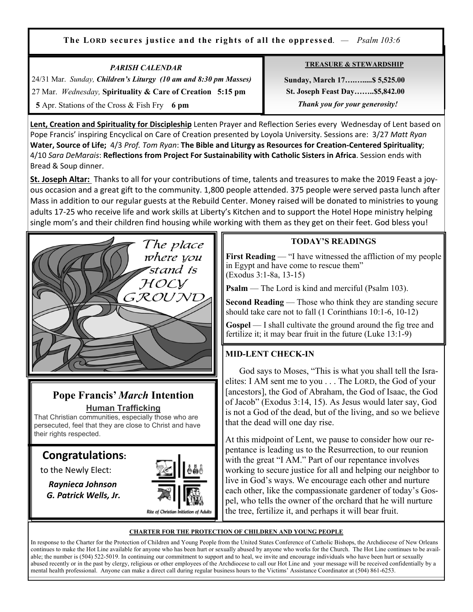**The LORD secures justice and the rights of all the oppressed**. *— Psalm 103:6*

| <b>PARISH CALENDAR</b>                                           | <b>TREASURE &amp; STEWARDSHIP</b>     |
|------------------------------------------------------------------|---------------------------------------|
| 24/31 Mar. Sunday, Children's Liturgy (10 am and 8:30 pm Masses) | Sunday, March 17 \$5,525.00           |
| 27 Mar. Wednesday, Spirituality & Care of Creation 5:15 pm       | <b>St. Joseph Feast Day\$5,842.00</b> |
| 5 Apr. Stations of the Cross & Fish Fry 6 pm                     | Thank you for your generosity!        |

**Lent, Creation and Spirituality for Discipleship** Lenten Prayer and Reflection Series every Wednesday of Lent based on Pope Francis' inspiring Encyclical on Care of Creation presented by Loyola University. Sessions are: 3/27 *Matt Ryan*  **Water, Source of Life;** 4/3 *Prof. Tom Ryan*: **The Bible and Liturgy as Resources for Creation-Centered Spirituality**; 4/10 *Sara DeMarais*: **Reflections from Project For Sustainability with Catholic Sisters in Africa**. Session ends with Bread & Soup dinner.

**St. Joseph Altar:** Thanks to all for your contributions of time, talents and treasures to make the 2019 Feast a joyous occasion and a great gift to the community. 1,800 people attended. 375 people were served pasta lunch after Mass in addition to our regular guests at the Rebuild Center. Money raised will be donated to ministries to young adults 17-25 who receive life and work skills at Liberty's Kitchen and to support the Hotel Hope ministry helping single mom's and their children find housing while working with them as they get on their feet. God bless you!



# **Pope Francis'** *March* **Intention Human Trafficking**

That Christian communities, especially those who are persecuted, feel that they are close to Christ and have their rights respected.

# **Congratulations:**

to the Newly Elect:

Ξ

 *Raynieca Johnson G. Patrick Wells, Jr.* 



# **TODAY'S READINGS**

**First Reading** — "I have witnessed the affliction of my people in Egypt and have come to rescue them" (Exodus 3:1-8a, 13-15)

**Psalm** — The Lord is kind and merciful (Psalm 103).

**Second Reading** — Those who think they are standing secure should take care not to fall (1 Corinthians 10:1-6, 10-12)

**Gospel** — I shall cultivate the ground around the fig tree and fertilize it; it may bear fruit in the future (Luke 13:1-9)

# **MID-LENT CHECK-IN**

 God says to Moses, "This is what you shall tell the Israelites: I AM sent me to you . . . The LORD, the God of your [ancestors], the God of Abraham, the God of Isaac, the God of Jacob" (Exodus 3:14, 15). As Jesus would later say, God is not a God of the dead, but of the living, and so we believe that the dead will one day rise.

At this midpoint of Lent, we pause to consider how our repentance is leading us to the Resurrection, to our reunion with the great "I AM." Part of our repentance involves working to secure justice for all and helping our neighbor to live in God's ways. We encourage each other and nurture each other, like the compassionate gardener of today's Gospel, who tells the owner of the orchard that he will nurture the tree, fertilize it, and perhaps it will bear fruit.

#### **CHARTER FOR THE PROTECTION OF CHILDREN AND YOUNG PEOPLE**

In response to the Charter for the Protection of Children and Young People from the United States Conference of Catholic Bishops, the Archdiocese of New Orleans continues to make the Hot Line available for anyone who has been hurt or sexually abused by anyone who works for the Church. The Hot Line continues to be available; the number is (504) 522-5019. In continuing our commitment to support and to heal, we invite and encourage individuals who have been hurt or sexually abused recently or in the past by clergy, religious or other employees of the Archdiocese to call our Hot Line and your message will be received confidentially by a mental health professional. Anyone can make a direct call during regular business hours to the Victims' Assistance Coordinator at (504) 861-6253.